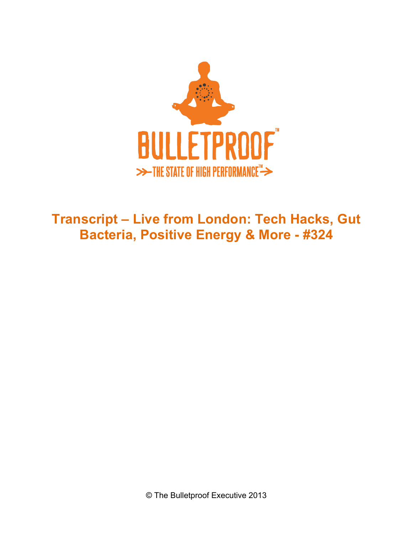

**Transcript – Live from London: Tech Hacks, Gut Bacteria, Positive Energy & More - #324**

© The Bulletproof Executive 2013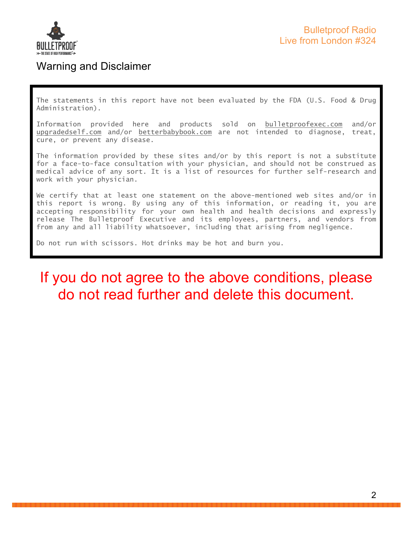

## Warning and Disclaimer

The statements in this report have not been evaluated by the FDA (U.S. Food & Drug Administration).

Information provided here and products sold on bulletproofexec.com and/or upgradedself.com and/or betterbabybook.com are not intended to diagnose, treat, cure, or prevent any disease.

The information provided by these sites and/or by this report is not a substitute for a face-to-face consultation with your physician, and should not be construed as medical advice of any sort. It is a list of resources for further self-research and work with your physician.

We certify that at least one statement on the above-mentioned web sites and/or in this report is wrong. By using any of this information, or reading it, you are accepting responsibility for your own health and health decisions and expressly release The Bulletproof Executive and its employees, partners, and vendors from from any and all liability whatsoever, including that arising from negligence.

Do not run with scissors. Hot drinks may be hot and burn you.

# If you do not agree to the above conditions, please do not read further and delete this document.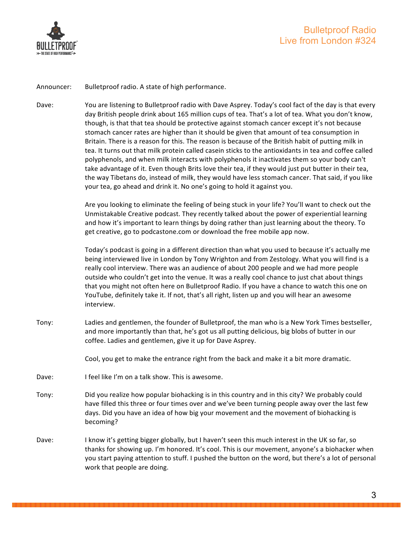

Announcer: Bulletproof radio. A state of high performance.

Dave: You are listening to Bulletproof radio with Dave Asprey. Today's cool fact of the day is that every day British people drink about 165 million cups of tea. That's a lot of tea. What you don't know, though, is that that tea should be protective against stomach cancer except it's not because stomach cancer rates are higher than it should be given that amount of tea consumption in Britain. There is a reason for this. The reason is because of the British habit of putting milk in tea. It turns out that milk protein called casein sticks to the antioxidants in tea and coffee called polyphenols, and when milk interacts with polyphenols it inactivates them so your body can't take advantage of it. Even though Brits love their tea, if they would just put butter in their tea, the way Tibetans do, instead of milk, they would have less stomach cancer. That said, if you like your tea, go ahead and drink it. No one's going to hold it against you.

> Are you looking to eliminate the feeling of being stuck in your life? You'll want to check out the Unmistakable Creative podcast. They recently talked about the power of experiential learning and how it's important to learn things by doing rather than just learning about the theory. To get creative, go to podcastone.com or download the free mobile app now.

> Today's podcast is going in a different direction than what you used to because it's actually me being interviewed live in London by Tony Wrighton and from Zestology. What you will find is a really cool interview. There was an audience of about 200 people and we had more people outside who couldn't get into the venue. It was a really cool chance to just chat about things that you might not often here on Bulletproof Radio. If you have a chance to watch this one on YouTube, definitely take it. If not, that's all right, listen up and you will hear an awesome interview.

Tony: Ladies and gentlemen, the founder of Bulletproof, the man who is a New York Times bestseller, and more importantly than that, he's got us all putting delicious, big blobs of butter in our coffee. Ladies and gentlemen, give it up for Dave Asprey.

Cool, you get to make the entrance right from the back and make it a bit more dramatic.

- Dave: I feel like I'm on a talk show. This is awesome.
- Tony: Did you realize how popular biohacking is in this country and in this city? We probably could have filled this three or four times over and we've been turning people away over the last few days. Did you have an idea of how big your movement and the movement of biohacking is becoming?
- Dave: I know it's getting bigger globally, but I haven't seen this much interest in the UK so far, so thanks for showing up. I'm honored. It's cool. This is our movement, anyone's a biohacker when you start paying attention to stuff. I pushed the button on the word, but there's a lot of personal work that people are doing.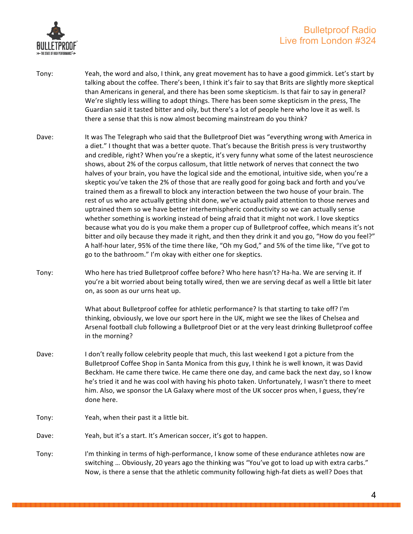

- Tony: Yeah, the word and also, I think, any great movement has to have a good gimmick. Let's start by talking about the coffee. There's been, I think it's fair to say that Brits are slightly more skeptical than Americans in general, and there has been some skepticism. Is that fair to say in general? We're slightly less willing to adopt things. There has been some skepticism in the press, The Guardian said it tasted bitter and oily, but there's a lot of people here who love it as well. Is there a sense that this is now almost becoming mainstream do you think?
- Dave: It was The Telegraph who said that the Bulletproof Diet was "everything wrong with America in a diet." I thought that was a better quote. That's because the British press is very trustworthy and credible, right? When you're a skeptic, it's very funny what some of the latest neuroscience shows, about 2% of the corpus callosum, that little network of nerves that connect the two halves of your brain, you have the logical side and the emotional, intuitive side, when you're a skeptic you've taken the 2% of those that are really good for going back and forth and you've trained them as a firewall to block any interaction between the two house of your brain. The rest of us who are actually getting shit done, we've actually paid attention to those nerves and uptrained them so we have better interhemispheric conductivity so we can actually sense whether something is working instead of being afraid that it might not work. I love skeptics because what you do is you make them a proper cup of Bulletproof coffee, which means it's not bitter and oily because they made it right, and then they drink it and you go, "How do you feel?" A half-hour later, 95% of the time there like, "Oh my God," and 5% of the time like, "I've got to go to the bathroom." I'm okay with either one for skeptics.
- Tony: Who here has tried Bulletproof coffee before? Who here hasn't? Ha-ha. We are serving it. If you're a bit worried about being totally wired, then we are serving decaf as well a little bit later on, as soon as our urns heat up.

What about Bulletproof coffee for athletic performance? Is that starting to take off? I'm thinking, obviously, we love our sport here in the UK, might we see the likes of Chelsea and Arsenal football club following a Bulletproof Diet or at the very least drinking Bulletproof coffee in the morning?

- Dave: I don't really follow celebrity people that much, this last weekend I got a picture from the Bulletproof Coffee Shop in Santa Monica from this guy, I think he is well known, it was David Beckham. He came there twice. He came there one day, and came back the next day, so I know he's tried it and he was cool with having his photo taken. Unfortunately, I wasn't there to meet him. Also, we sponsor the LA Galaxy where most of the UK soccer pros when, I guess, they're done here.
- Tony: Yeah, when their past it a little bit.
- Dave: Yeah, but it's a start. It's American soccer, it's got to happen.
- Tony: I'm thinking in terms of high-performance, I know some of these endurance athletes now are switching ... Obviously, 20 years ago the thinking was "You've got to load up with extra carbs." Now, is there a sense that the athletic community following high-fat diets as well? Does that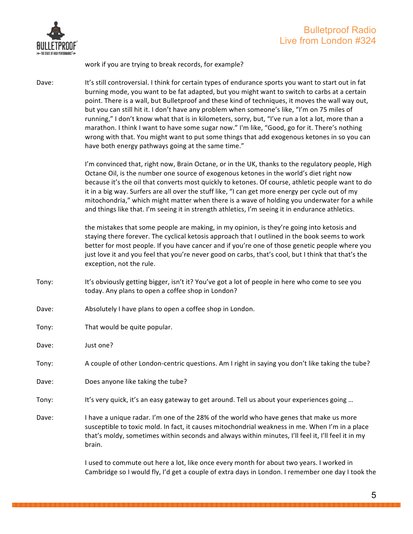

work if you are trying to break records, for example?

Dave: It's still controversial. I think for certain types of endurance sports you want to start out in fat burning mode, you want to be fat adapted, but you might want to switch to carbs at a certain point. There is a wall, but Bulletproof and these kind of techniques, it moves the wall way out, but you can still hit it. I don't have any problem when someone's like, "I'm on 75 miles of running," I don't know what that is in kilometers, sorry, but, "I've run a lot a lot, more than a marathon. I think I want to have some sugar now." I'm like, "Good, go for it. There's nothing wrong with that. You might want to put some things that add exogenous ketones in so you can have both energy pathways going at the same time."

> I'm convinced that, right now, Brain Octane, or in the UK, thanks to the regulatory people, High Octane Oil, is the number one source of exogenous ketones in the world's diet right now because it's the oil that converts most quickly to ketones. Of course, athletic people want to do it in a big way. Surfers are all over the stuff like, "I can get more energy per cycle out of my mitochondria," which might matter when there is a wave of holding you underwater for a while and things like that. I'm seeing it in strength athletics, I'm seeing it in endurance athletics.

> the mistakes that some people are making, in my opinion, is they're going into ketosis and staying there forever. The cyclical ketosis approach that I outlined in the book seems to work better for most people. If you have cancer and if you're one of those genetic people where you just love it and you feel that you're never good on carbs, that's cool, but I think that that's the exception, not the rule.

- Tony: It's obviously getting bigger, isn't it? You've got a lot of people in here who come to see you today. Any plans to open a coffee shop in London?
- Dave: Absolutely I have plans to open a coffee shop in London.
- Tony: That would be quite popular.
- Dave: Just one?
- Tony: A couple of other London-centric questions. Am I right in saying you don't like taking the tube?
- Dave: Does anyone like taking the tube?
- Tony: It's very quick, it's an easy gateway to get around. Tell us about your experiences going ...
- Dave: I have a unique radar. I'm one of the 28% of the world who have genes that make us more susceptible to toxic mold. In fact, it causes mitochondrial weakness in me. When I'm in a place that's moldy, sometimes within seconds and always within minutes, I'll feel it, I'll feel it in my brain.

I used to commute out here a lot, like once every month for about two years. I worked in Cambridge so I would fly, I'd get a couple of extra days in London. I remember one day I took the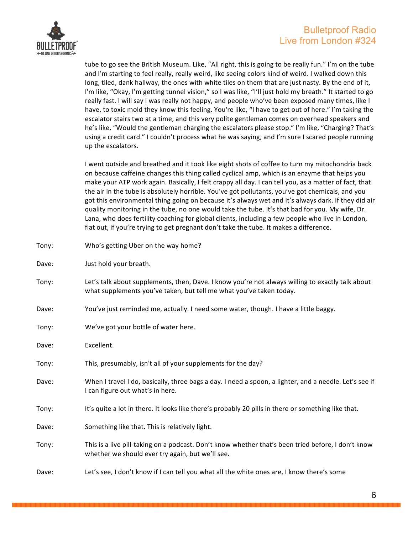

tube to go see the British Museum. Like, "All right, this is going to be really fun." I'm on the tube and I'm starting to feel really, really weird, like seeing colors kind of weird. I walked down this long, tiled, dank hallway, the ones with white tiles on them that are just nasty. By the end of it, I'm like, "Okay, I'm getting tunnel vision," so I was like, "I'll just hold my breath." It started to go really fast. I will say I was really not happy, and people who've been exposed many times, like I have, to toxic mold they know this feeling. You're like, "I have to get out of here." I'm taking the escalator stairs two at a time, and this very polite gentleman comes on overhead speakers and he's like, "Would the gentleman charging the escalators please stop." I'm like, "Charging? That's using a credit card." I couldn't process what he was saying, and I'm sure I scared people running up the escalators.

I went outside and breathed and it took like eight shots of coffee to turn my mitochondria back on because caffeine changes this thing called cyclical amp, which is an enzyme that helps you make your ATP work again. Basically, I felt crappy all day. I can tell you, as a matter of fact, that the air in the tube is absolutely horrible. You've got pollutants, you've got chemicals, and you got this environmental thing going on because it's always wet and it's always dark. If they did air quality monitoring in the tube, no one would take the tube. It's that bad for you. My wife, Dr. Lana, who does fertility coaching for global clients, including a few people who live in London, flat out, if you're trying to get pregnant don't take the tube. It makes a difference.

Tony: Who's getting Uber on the way home? Dave: Just hold your breath. Tony: Let's talk about supplements, then, Dave. I know you're not always willing to exactly talk about what supplements you've taken, but tell me what you've taken today. Dave: You've just reminded me, actually. I need some water, though. I have a little baggy. Tony: We've got your bottle of water here. Dave: Excellent. Tony: This, presumably, isn't all of your supplements for the day? Dave: When I travel I do, basically, three bags a day. I need a spoon, a lighter, and a needle. Let's see if I can figure out what's in here. Tony: It's quite a lot in there. It looks like there's probably 20 pills in there or something like that. Dave: Something like that. This is relatively light. Tony: This is a live pill-taking on a podcast. Don't know whether that's been tried before, I don't know whether we should ever try again, but we'll see. Dave: Let's see, I don't know if I can tell you what all the white ones are, I know there's some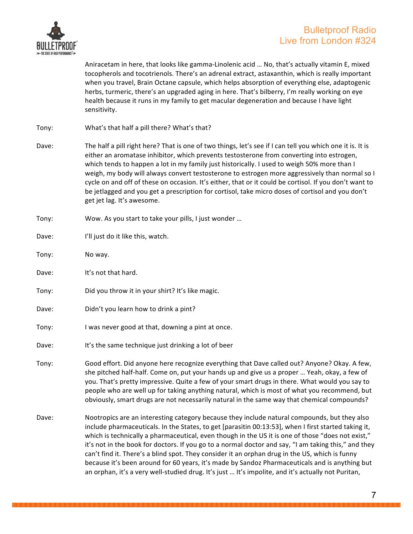

Aniracetam in here, that looks like gamma-Linolenic acid ... No, that's actually vitamin E, mixed tocopherols and tocotrienols. There's an adrenal extract, astaxanthin, which is really important when you travel, Brain Octane capsule, which helps absorption of everything else, adaptogenic herbs, turmeric, there's an upgraded aging in here. That's bilberry, I'm really working on eye health because it runs in my family to get macular degeneration and because I have light sensitivity.

- Tony: What's that half a pill there? What's that?
- Dave: The half a pill right here? That is one of two things, let's see if I can tell you which one it is. It is either an aromatase inhibitor, which prevents testosterone from converting into estrogen, which tends to happen a lot in my family just historically. I used to weigh 50% more than I weigh, my body will always convert testosterone to estrogen more aggressively than normal so I cycle on and off of these on occasion. It's either, that or it could be cortisol. If you don't want to be jetlagged and you get a prescription for cortisol, take micro doses of cortisol and you don't get jet lag. It's awesome.
- Tony: Wow. As you start to take your pills, I just wonder ...
- Dave: I'll just do it like this, watch.
- Tony: No way.
- Dave: It's not that hard.
- Tony: Did you throw it in your shirt? It's like magic.
- Dave: Didn't you learn how to drink a pint?
- Tony: I was never good at that, downing a pint at once.
- Dave: It's the same technique just drinking a lot of beer
- Tony: Good effort. Did anyone here recognize everything that Dave called out? Anyone? Okay. A few, she pitched half-half. Come on, put your hands up and give us a proper ... Yeah, okay, a few of you. That's pretty impressive. Quite a few of your smart drugs in there. What would you say to people who are well up for taking anything natural, which is most of what you recommend, but obviously, smart drugs are not necessarily natural in the same way that chemical compounds?
- Dave: Nootropics are an interesting category because they include natural compounds, but they also include pharmaceuticals. In the States, to get [parasitin 00:13:53], when I first started taking it, which is technically a pharmaceutical, even though in the US it is one of those "does not exist," it's not in the book for doctors. If you go to a normal doctor and say, "I am taking this," and they can't find it. There's a blind spot. They consider it an orphan drug in the US, which is funny because it's been around for 60 years, it's made by Sandoz Pharmaceuticals and is anything but an orphan, it's a very well-studied drug. It's just ... It's impolite, and it's actually not Puritan,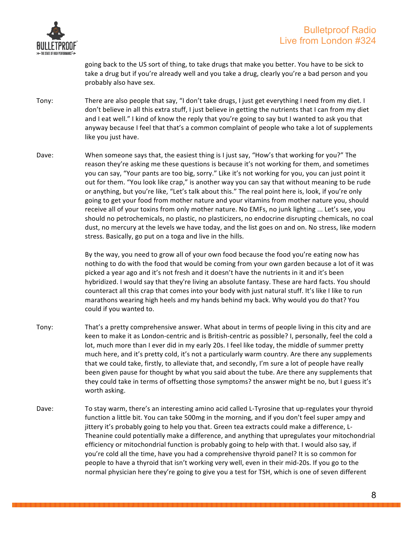

going back to the US sort of thing, to take drugs that make you better. You have to be sick to take a drug but if you're already well and you take a drug, clearly you're a bad person and you probably also have sex.

- Tony: There are also people that say, "I don't take drugs, I just get everything I need from my diet. I don't believe in all this extra stuff, I just believe in getting the nutrients that I can from my diet and I eat well." I kind of know the reply that you're going to say but I wanted to ask you that anyway because I feel that that's a common complaint of people who take a lot of supplements like you just have.
- Dave: When someone says that, the easiest thing is I just say, "How's that working for you?" The reason they're asking me these questions is because it's not working for them, and sometimes you can say, "Your pants are too big, sorry." Like it's not working for you, you can just point it out for them. "You look like crap," is another way you can say that without meaning to be rude or anything, but you're like, "Let's talk about this." The real point here is, look, if you're only going to get your food from mother nature and your vitamins from mother nature you, should receive all of your toxins from only mother nature. No EMFs, no junk lighting ... Let's see, you should no petrochemicals, no plastic, no plasticizers, no endocrine disrupting chemicals, no coal dust, no mercury at the levels we have today, and the list goes on and on. No stress, like modern stress. Basically, go put on a toga and live in the hills.

By the way, you need to grow all of your own food because the food you're eating now has nothing to do with the food that would be coming from your own garden because a lot of it was picked a year ago and it's not fresh and it doesn't have the nutrients in it and it's been hybridized. I would say that they're living an absolute fantasy. These are hard facts. You should counteract all this crap that comes into your body with just natural stuff. It's like I like to run marathons wearing high heels and my hands behind my back. Why would you do that? You could if you wanted to.

- Tony: That's a pretty comprehensive answer. What about in terms of people living in this city and are keen to make it as London-centric and is British-centric as possible? I, personally, feel the cold a lot, much more than I ever did in my early 20s. I feel like today, the middle of summer pretty much here, and it's pretty cold, it's not a particularly warm country. Are there any supplements that we could take, firstly, to alleviate that, and secondly, I'm sure a lot of people have really been given pause for thought by what you said about the tube. Are there any supplements that they could take in terms of offsetting those symptoms? the answer might be no, but I guess it's worth asking.
- Dave: To stay warm, there's an interesting amino acid called L-Tyrosine that up-regulates your thyroid function a little bit. You can take 500mg in the morning, and if you don't feel super ampy and jittery it's probably going to help you that. Green tea extracts could make a difference, L-Theanine could potentially make a difference, and anything that upregulates your mitochondrial efficiency or mitochondrial function is probably going to help with that. I would also say, if you're cold all the time, have you had a comprehensive thyroid panel? It is so common for people to have a thyroid that isn't working very well, even in their mid-20s. If you go to the normal physician here they're going to give you a test for TSH, which is one of seven different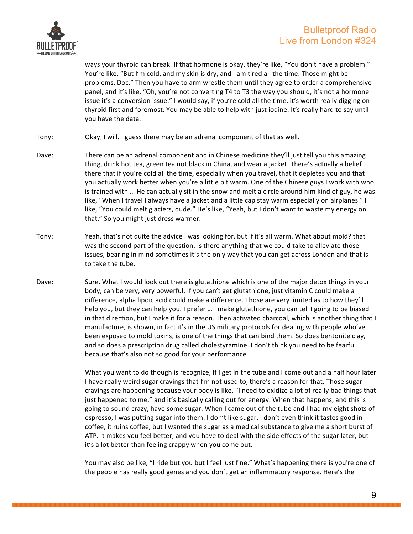

ways your thyroid can break. If that hormone is okay, they're like, "You don't have a problem." You're like, "But I'm cold, and my skin is dry, and I am tired all the time. Those might be problems, Doc." Then you have to arm wrestle them until they agree to order a comprehensive panel, and it's like, "Oh, you're not converting T4 to T3 the way you should, it's not a hormone issue it's a conversion issue." I would say, if you're cold all the time, it's worth really digging on thyroid first and foremost. You may be able to help with just iodine. It's really hard to say until you have the data.

- Tony: Okay, I will. I guess there may be an adrenal component of that as well.
- Dave: There can be an adrenal component and in Chinese medicine they'll just tell you this amazing thing, drink hot tea, green tea not black in China, and wear a jacket. There's actually a belief there that if you're cold all the time, especially when you travel, that it depletes you and that you actually work better when you're a little bit warm. One of the Chinese guys I work with who is trained with ... He can actually sit in the snow and melt a circle around him kind of guy, he was like, "When I travel I always have a jacket and a little cap stay warm especially on airplanes." I like, "You could melt glaciers, dude." He's like, "Yeah, but I don't want to waste my energy on that." So you might just dress warmer.
- Tony: Yeah, that's not quite the advice I was looking for, but if it's all warm. What about mold? that was the second part of the question. Is there anything that we could take to alleviate those issues, bearing in mind sometimes it's the only way that you can get across London and that is to take the tube.
- Dave: Sure. What I would look out there is glutathione which is one of the major detox things in your body, can be very, very powerful. If you can't get glutathione, just vitamin C could make a difference, alpha lipoic acid could make a difference. Those are very limited as to how they'll help you, but they can help you. I prefer ... I make glutathione, you can tell I going to be biased in that direction, but I make it for a reason. Then activated charcoal, which is another thing that I manufacture, is shown, in fact it's in the US military protocols for dealing with people who've been exposed to mold toxins, is one of the things that can bind them. So does bentonite clay, and so does a prescription drug called cholestyramine. I don't think you need to be fearful because that's also not so good for your performance.

What you want to do though is recognize, If I get in the tube and I come out and a half hour later I have really weird sugar cravings that I'm not used to, there's a reason for that. Those sugar cravings are happening because your body is like, "I need to oxidize a lot of really bad things that just happened to me," and it's basically calling out for energy. When that happens, and this is going to sound crazy, have some sugar. When I came out of the tube and I had my eight shots of espresso, I was putting sugar into them. I don't like sugar, I don't even think it tastes good in coffee, it ruins coffee, but I wanted the sugar as a medical substance to give me a short burst of ATP. It makes you feel better, and you have to deal with the side effects of the sugar later, but it's a lot better than feeling crappy when you come out.

You may also be like, "I ride but you but I feel just fine." What's happening there is you're one of the people has really good genes and you don't get an inflammatory response. Here's the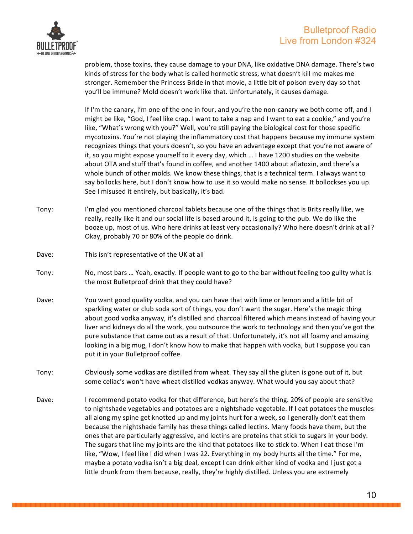



problem, those toxins, they cause damage to your DNA, like oxidative DNA damage. There's two kinds of stress for the body what is called hormetic stress, what doesn't kill me makes me stronger. Remember the Princess Bride in that movie, a little bit of poison every day so that you'll be immune? Mold doesn't work like that. Unfortunately, it causes damage.

If I'm the canary, I'm one of the one in four, and you're the non-canary we both come off, and I might be like, "God, I feel like crap. I want to take a nap and I want to eat a cookie," and you're like, "What's wrong with you?" Well, you're still paying the biological cost for those specific mycotoxins. You're not playing the inflammatory cost that happens because my immune system recognizes things that yours doesn't, so you have an advantage except that you're not aware of it, so you might expose yourself to it every day, which ... I have 1200 studies on the website about OTA and stuff that's found in coffee, and another 1400 about aflatoxin, and there's a whole bunch of other molds. We know these things, that is a technical term. I always want to say bollocks here, but I don't know how to use it so would make no sense. It bollockses you up. See I misused it entirely, but basically, it's bad.

- Tony: I'm glad you mentioned charcoal tablets because one of the things that is Brits really like, we really, really like it and our social life is based around it, is going to the pub. We do like the booze up, most of us. Who here drinks at least very occasionally? Who here doesn't drink at all? Okay, probably 70 or 80% of the people do drink.
- Dave: This isn't representative of the UK at all
- Tony: No, most bars ... Yeah, exactly. If people want to go to the bar without feeling too guilty what is the most Bulletproof drink that they could have?
- Dave: You want good quality vodka, and you can have that with lime or lemon and a little bit of sparkling water or club soda sort of things, you don't want the sugar. Here's the magic thing about good vodka anyway, it's distilled and charcoal filtered which means instead of having your liver and kidneys do all the work, you outsource the work to technology and then you've got the pure substance that came out as a result of that. Unfortunately, it's not all foamy and amazing looking in a big mug, I don't know how to make that happen with vodka, but I suppose you can put it in your Bulletproof coffee.
- Tony: Obviously some vodkas are distilled from wheat. They say all the gluten is gone out of it, but some celiac's won't have wheat distilled vodkas anyway. What would you say about that?
- Dave: I recommend potato vodka for that difference, but here's the thing. 20% of people are sensitive to nightshade vegetables and potatoes are a nightshade vegetable. If I eat potatoes the muscles all along my spine get knotted up and my joints hurt for a week, so I generally don't eat them because the nightshade family has these things called lectins. Many foods have them, but the ones that are particularly aggressive, and lectins are proteins that stick to sugars in your body. The sugars that line my joints are the kind that potatoes like to stick to. When I eat those I'm like, "Wow, I feel like I did when I was 22. Everything in my body hurts all the time." For me, maybe a potato vodka isn't a big deal, except I can drink either kind of vodka and I just got a little drunk from them because, really, they're highly distilled. Unless you are extremely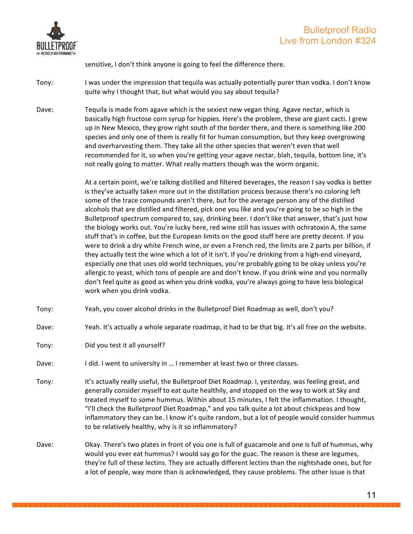

sensitive, I don't think anyone is going to feel the difference there.

- Tony: I was under the impression that tequila was actually potentially purer than vodka. I don't know quite why I thought that, but what would you say about tequila?
- Dave: Tequila is made from agave which is the sexiest new vegan thing. Agave nectar, which is basically high fructose corn syrup for hippies. Here's the problem, these are giant cacti. I grew up in New Mexico, they grow right south of the border there, and there is something like 200 species and only one of them is really fit for human consumption, but they keep overgrowing and overharvesting them. They take all the other species that weren't even that well recommended for it, so when you're getting your agave nectar, blah, tequila, bottom line, it's not really going to matter. What really matters though was the worm organic.

At a certain point, we're talking distilled and filtered beverages, the reason I say vodka is better is they've actually taken more out in the distillation process because there's no coloring left some of the trace compounds aren't there, but for the average person any of the distilled alcohols that are distilled and filtered, pick one you like and you're going to be so high in the Bulletproof spectrum compared to, say, drinking beer. I don't like that answer, that's just how the biology works out. You're lucky here, red wine still has issues with ochratoxin A, the same stuff that's in coffee, but the European limits on the good stuff here are pretty decent. If you were to drink a dry white French wine, or even a French red, the limits are 2 parts per billion, if they actually test the wine which a lot of it isn't. If you're drinking from a high-end vineyard, especially one that uses old world techniques, you're probably going to be okay unless you're allergic to yeast, which tons of people are and don't know. If you drink wine and you normally don't feel quite as good as when you drink vodka, you're always going to have less biological work when you drink vodka.

- Tony: Yeah, you cover alcohol drinks in the Bulletproof Diet Roadmap as well, don't you?
- Dave: Yeah. It's actually a whole separate roadmap, it had to be that big. It's all free on the website.
- Tony: Did you test it all yourself?
- Dave: I did. I went to university in ... I remember at least two or three classes.
- Tony: It's actually really useful, the Bulletproof Diet Roadmap. I, yesterday, was feeling great, and generally consider myself to eat quite healthily, and stopped on the way to work at Sky and treated myself to some hummus. Within about 15 minutes, I felt the inflammation. I thought, "I'll check the Bulletproof Diet Roadmap," and you talk quite a lot about chickpeas and how inflammatory they can be. I know it's quite random, but a lot of people would consider hummus to be relatively healthy, why is it so inflammatory?
- Dave: Okay. There's two plates in front of you one is full of guacamole and one is full of hummus, why would you ever eat hummus? I would say go for the guac. The reason is these are legumes, they're full of these lectins. They are actually different lectins than the nightshade ones, but for a lot of people, way more than is acknowledged, they cause problems. The other issue is that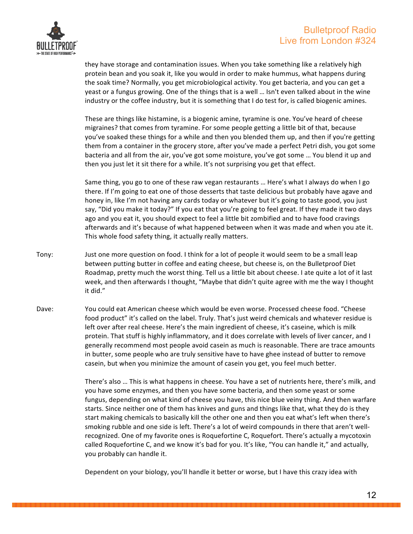

they have storage and contamination issues. When you take something like a relatively high protein bean and you soak it, like you would in order to make hummus, what happens during the soak time? Normally, you get microbiological activity. You get bacteria, and you can get a yeast or a fungus growing. One of the things that is a well ... Isn't even talked about in the wine industry or the coffee industry, but it is something that I do test for, is called biogenic amines.

These are things like histamine, is a biogenic amine, tyramine is one. You've heard of cheese migraines? that comes from tyramine. For some people getting a little bit of that, because you've soaked these things for a while and then you blended them up, and then if you're getting them from a container in the grocery store, after you've made a perfect Petri dish, you got some bacteria and all from the air, you've got some moisture, you've got some ... You blend it up and then you just let it sit there for a while. It's not surprising you get that effect.

Same thing, you go to one of these raw vegan restaurants ... Here's what I always do when I go there. If I'm going to eat one of those desserts that taste delicious but probably have agave and honey in, like I'm not having any cards today or whatever but it's going to taste good, you just say, "Did you make it today?" If you eat that you're going to feel great. If they made it two days ago and you eat it, you should expect to feel a little bit zombified and to have food cravings afterwards and it's because of what happened between when it was made and when you ate it. This whole food safety thing, it actually really matters.

- Tony: Just one more question on food. I think for a lot of people it would seem to be a small leap between putting butter in coffee and eating cheese, but cheese is, on the Bulletproof Diet Roadmap, pretty much the worst thing. Tell us a little bit about cheese. I ate quite a lot of it last week, and then afterwards I thought, "Maybe that didn't quite agree with me the way I thought it did."
- Dave: You could eat American cheese which would be even worse. Processed cheese food. "Cheese food product" it's called on the label. Truly. That's just weird chemicals and whatever residue is left over after real cheese. Here's the main ingredient of cheese, it's caseine, which is milk protein. That stuff is highly inflammatory, and it does correlate with levels of liver cancer, and I generally recommend most people avoid casein as much is reasonable. There are trace amounts in butter, some people who are truly sensitive have to have ghee instead of butter to remove casein, but when you minimize the amount of casein you get, you feel much better.

There's also ... This is what happens in cheese. You have a set of nutrients here, there's milk, and you have some enzymes, and then you have some bacteria, and then some yeast or some fungus, depending on what kind of cheese you have, this nice blue veiny thing. And then warfare starts. Since neither one of them has knives and guns and things like that, what they do is they start making chemicals to basically kill the other one and then you eat what's left when there's smoking rubble and one side is left. There's a lot of weird compounds in there that aren't wellrecognized. One of my favorite ones is Roquefortine C, Roquefort. There's actually a mycotoxin called Roquefortine C, and we know it's bad for you. It's like, "You can handle it," and actually, you probably can handle it.

Dependent on your biology, you'll handle it better or worse, but I have this crazy idea with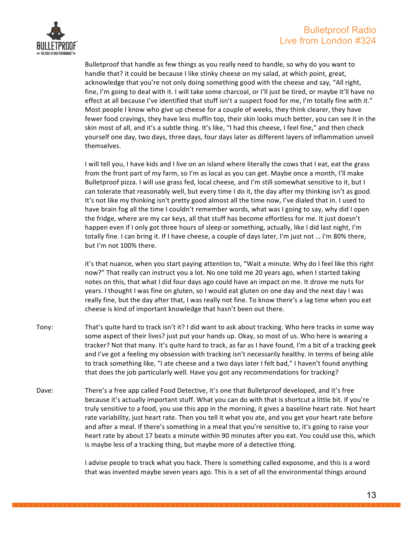

Bulletproof that handle as few things as you really need to handle, so why do you want to handle that? it could be because I like stinky cheese on my salad, at which point, great, acknowledge that you're not only doing something good with the cheese and say, "All right, fine, I'm going to deal with it. I will take some charcoal, or I'll just be tired, or maybe it'll have no effect at all because I've identified that stuff isn't a suspect food for me, I'm totally fine with it." Most people I know who give up cheese for a couple of weeks, they think clearer, they have fewer food cravings, they have less muffin top, their skin looks much better, you can see it in the skin most of all, and it's a subtle thing. It's like, "I had this cheese, I feel fine," and then check yourself one day, two days, three days, four days later as different layers of inflammation unveil themselves.

I will tell you, I have kids and I live on an island where literally the cows that I eat, eat the grass from the front part of my farm, so I'm as local as you can get. Maybe once a month, I'll make Bulletproof pizza. I will use grass fed, local cheese, and I'm still somewhat sensitive to it, but I can tolerate that reasonably well, but every time I do it, the day after my thinking isn't as good. It's not like my thinking isn't pretty good almost all the time now, I've dialed that in. I used to have brain fog all the time I couldn't remember words, what was I going to say, why did I open the fridge, where are my car keys, all that stuff has become effortless for me. It just doesn't happen even if I only got three hours of sleep or something, actually, like I did last night, I'm totally fine. I can bring it. If I have cheese, a couple of days later, I'm just not ... I'm 80% there, but I'm not 100% there.

it's that nuance, when you start paying attention to, "Wait a minute. Why do I feel like this right now?" That really can instruct you a lot. No one told me 20 years ago, when I started taking notes on this, that what I did four days ago could have an impact on me. It drove me nuts for years. I thought I was fine on gluten, so I would eat gluten on one day and the next day I was really fine, but the day after that, I was really not fine. To know there's a lag time when you eat cheese is kind of important knowledge that hasn't been out there.

- Tony: That's quite hard to track isn't it? I did want to ask about tracking. Who here tracks in some way some aspect of their lives? just put your hands up. Okay, so most of us. Who here is wearing a tracker? Not that many. It's quite hard to track, as far as I have found, I'm a bit of a tracking geek and I've got a feeling my obsession with tracking isn't necessarily healthy. In terms of being able to track something like, "I ate cheese and a two days later I felt bad," I haven't found anything that does the job particularly well. Have you got any recommendations for tracking?
- Dave: There's a free app called Food Detective, it's one that Bulletproof developed, and it's free because it's actually important stuff. What you can do with that is shortcut a little bit. If you're truly sensitive to a food, you use this app in the morning, it gives a baseline heart rate. Not heart rate variability, just heart rate. Then you tell it what you ate, and you get your heart rate before and after a meal. If there's something in a meal that you're sensitive to, it's going to raise your heart rate by about 17 beats a minute within 90 minutes after you eat. You could use this, which is maybe less of a tracking thing, but maybe more of a detective thing.

I advise people to track what you hack. There is something called exposome, and this is a word that was invented maybe seven years ago. This is a set of all the environmental things around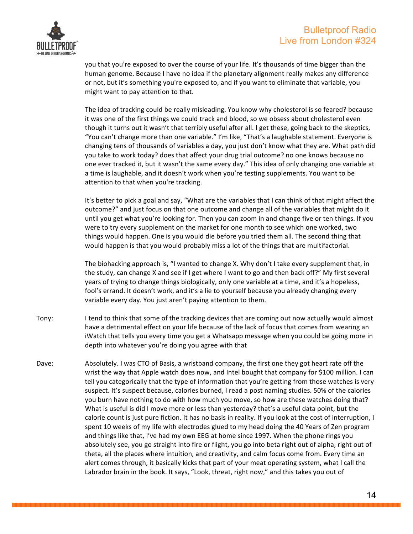#### Bulletproof Radio Live from London #324



you that you're exposed to over the course of your life. It's thousands of time bigger than the human genome. Because I have no idea if the planetary alignment really makes any difference or not, but it's something you're exposed to, and if you want to eliminate that variable, you might want to pay attention to that.

The idea of tracking could be really misleading. You know why cholesterol is so feared? because it was one of the first things we could track and blood, so we obsess about cholesterol even though it turns out it wasn't that terribly useful after all. I get these, going back to the skeptics, "You can't change more than one variable." I'm like, "That's a laughable statement. Everyone is changing tens of thousands of variables a day, you just don't know what they are. What path did you take to work today? does that affect your drug trial outcome? no one knows because no one ever tracked it, but it wasn't the same every day." This idea of only changing one variable at a time is laughable, and it doesn't work when you're testing supplements. You want to be attention to that when you're tracking.

It's better to pick a goal and say, "What are the variables that I can think of that might affect the outcome?" and just focus on that one outcome and change all of the variables that might do it until you get what you're looking for. Then you can zoom in and change five or ten things. If you were to try every supplement on the market for one month to see which one worked, two things would happen. One is you would die before you tried them all. The second thing that would happen is that you would probably miss a lot of the things that are multifactorial.

The biohacking approach is, "I wanted to change X. Why don't I take every supplement that, in the study, can change X and see if I get where I want to go and then back off?" My first several years of trying to change things biologically, only one variable at a time, and it's a hopeless, fool's errand. It doesn't work, and it's a lie to yourself because you already changing every variable every day. You just aren't paying attention to them.

- Tony: I tend to think that some of the tracking devices that are coming out now actually would almost have a detrimental effect on your life because of the lack of focus that comes from wearing an iWatch that tells you every time you get a Whatsapp message when you could be going more in depth into whatever you're doing you agree with that
- Dave: Absolutely. I was CTO of Basis, a wristband company, the first one they got heart rate off the wrist the way that Apple watch does now, and Intel bought that company for \$100 million. I can tell you categorically that the type of information that you're getting from those watches is very suspect. It's suspect because, calories burned, I read a post naming studies. 50% of the calories you burn have nothing to do with how much you move, so how are these watches doing that? What is useful is did I move more or less than yesterday? that's a useful data point, but the calorie count is just pure fiction. It has no basis in reality. If you look at the cost of interruption, I spent 10 weeks of my life with electrodes glued to my head doing the 40 Years of Zen program and things like that, I've had my own EEG at home since 1997. When the phone rings you absolutely see, you go straight into fire or flight, you go into beta right out of alpha, right out of theta, all the places where intuition, and creativity, and calm focus come from. Every time an alert comes through, it basically kicks that part of your meat operating system, what I call the Labrador brain in the book. It says, "Look, threat, right now," and this takes you out of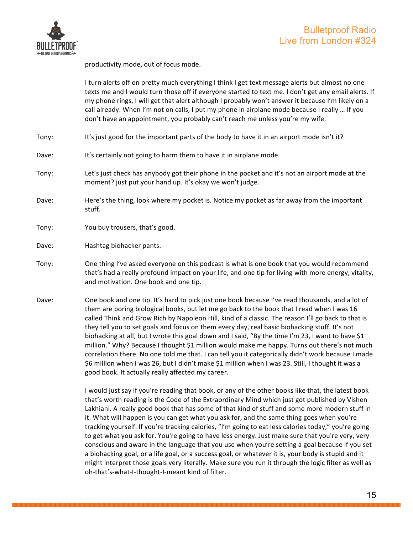

productivity mode, out of focus mode.

I turn alerts off on pretty much everything I think I get text message alerts but almost no one texts me and I would turn those off if everyone started to text me. I don't get any email alerts. If my phone rings, I will get that alert although I probably won't answer it because I'm likely on a call already. When I'm not on calls, I put my phone in airplane mode because I really ... If you don't have an appointment, you probably can't reach me unless you're my wife.

- Tony: It's just good for the important parts of the body to have it in an airport mode isn't it?
- Dave: It's certainly not going to harm them to have it in airplane mode.
- Tony: Let's just check has anybody got their phone in the pocket and it's not an airport mode at the moment? just put your hand up. It's okay we won't judge.
- Dave: Here's the thing, look where my pocket is. Notice my pocket as far away from the important stuff.
- Tony: You buy trousers, that's good.
- Dave: Hashtag biohacker pants.
- Tony: One thing I've asked everyone on this podcast is what is one book that you would recommend that's had a really profound impact on your life, and one tip for living with more energy, vitality, and motivation. One book and one tip.
- Dave: One book and one tip. It's hard to pick just one book because I've read thousands, and a lot of them are boring biological books, but let me go back to the book that I read when I was 16 called Think and Grow Rich by Napoleon Hill, kind of a classic. The reason I'll go back to that is they tell you to set goals and focus on them every day, real basic biohacking stuff. It's not biohacking at all, but I wrote this goal down and I said, "By the time I'm 23, I want to have \$1 million." Why? Because I thought \$1 million would make me happy. Turns out there's not much correlation there. No one told me that. I can tell you it categorically didn't work because I made \$6 million when I was 26, but I didn't make \$1 million when I was 23. Still, I thought it was a good book. It actually really affected my career.

I would just say if you're reading that book, or any of the other books like that, the latest book that's worth reading is the Code of the Extraordinary Mind which just got published by Vishen Lakhiani. A really good book that has some of that kind of stuff and some more modern stuff in it. What will happen is you can get what you ask for, and the same thing goes when you're tracking yourself. If you're tracking calories, "I'm going to eat less calories today," you're going to get what you ask for. You're going to have less energy. Just make sure that you're very, very conscious and aware in the language that you use when you're setting a goal because if you set a biohacking goal, or a life goal, or a success goal, or whatever it is, your body is stupid and it might interpret those goals very literally. Make sure you run it through the logic filter as well as oh-that's-what-I-thought-I-meant kind of filter.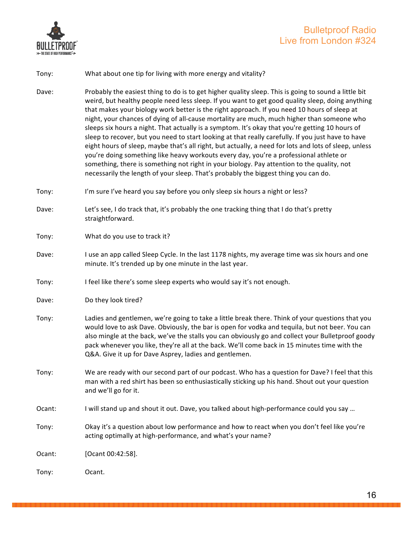

### Bulletproof Radio Live from London #324

#### Tony: What about one tip for living with more energy and vitality?

- Dave: Probably the easiest thing to do is to get higher quality sleep. This is going to sound a little bit weird, but healthy people need less sleep. If you want to get good quality sleep, doing anything that makes your biology work better is the right approach. If you need 10 hours of sleep at night, your chances of dying of all-cause mortality are much, much higher than someone who sleeps six hours a night. That actually is a symptom. It's okay that you're getting 10 hours of sleep to recover, but you need to start looking at that really carefully. If you just have to have eight hours of sleep, maybe that's all right, but actually, a need for lots and lots of sleep, unless you're doing something like heavy workouts every day, you're a professional athlete or something, there is something not right in your biology. Pay attention to the quality, not necessarily the length of your sleep. That's probably the biggest thing you can do.
- Tony: I'm sure I've heard you say before you only sleep six hours a night or less?
- Dave: Let's see, I do track that, it's probably the one tracking thing that I do that's pretty straightforward.
- Tony: What do you use to track it?
- Dave: I use an app called Sleep Cycle. In the last 1178 nights, my average time was six hours and one minute. It's trended up by one minute in the last year.
- Tony: I feel like there's some sleep experts who would say it's not enough.
- Dave: Do they look tired?
- Tony: Ladies and gentlemen, we're going to take a little break there. Think of your questions that you would love to ask Dave. Obviously, the bar is open for vodka and tequila, but not beer. You can also mingle at the back, we've the stalls you can obviously go and collect your Bulletproof goody pack whenever you like, they're all at the back. We'll come back in 15 minutes time with the Q&A. Give it up for Dave Asprey, ladies and gentlemen.
- Tony: We are ready with our second part of our podcast. Who has a question for Dave? I feel that this man with a red shirt has been so enthusiastically sticking up his hand. Shout out your question and we'll go for it.
- Ocant: I will stand up and shout it out. Dave, you talked about high-performance could you say ...
- Tony: Okay it's a question about low performance and how to react when you don't feel like you're acting optimally at high-performance, and what's your name?

Ocant: [Ocant 00:42:58].

Tony: Ocant.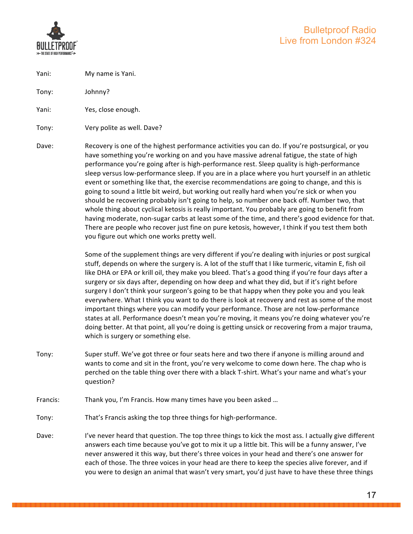

Yani: My name is Yani.

Tony: Johnny?

Yani: Yes, close enough.

Tony: Very polite as well. Dave?

Dave: Recovery is one of the highest performance activities you can do. If you're postsurgical, or you have something you're working on and you have massive adrenal fatigue, the state of high performance you're going after is high-performance rest. Sleep quality is high-performance sleep versus low-performance sleep. If you are in a place where you hurt yourself in an athletic event or something like that, the exercise recommendations are going to change, and this is going to sound a little bit weird, but working out really hard when you're sick or when you should be recovering probably isn't going to help, so number one back off. Number two, that whole thing about cyclical ketosis is really important. You probably are going to benefit from having moderate, non-sugar carbs at least some of the time, and there's good evidence for that. There are people who recover just fine on pure ketosis, however, I think if you test them both you figure out which one works pretty well.

> Some of the supplement things are very different if you're dealing with injuries or post surgical stuff, depends on where the surgery is. A lot of the stuff that I like turmeric, vitamin E, fish oil like DHA or EPA or krill oil, they make you bleed. That's a good thing if you're four days after a surgery or six days after, depending on how deep and what they did, but if it's right before surgery I don't think your surgeon's going to be that happy when they poke you and you leak everywhere. What I think you want to do there is look at recovery and rest as some of the most important things where you can modify your performance. Those are not low-performance states at all. Performance doesn't mean you're moving, it means you're doing whatever you're doing better. At that point, all you're doing is getting unsick or recovering from a major trauma, which is surgery or something else.

- Tony: Super stuff. We've got three or four seats here and two there if anyone is milling around and wants to come and sit in the front, you're very welcome to come down here. The chap who is perched on the table thing over there with a black T-shirt. What's your name and what's your question?
- Francis: Thank you, I'm Francis. How many times have you been asked ...
- Tony: That's Francis asking the top three things for high-performance.
- Dave: I've never heard that question. The top three things to kick the most ass. I actually give different answers each time because you've got to mix it up a little bit. This will be a funny answer, I've never answered it this way, but there's three voices in your head and there's one answer for each of those. The three voices in your head are there to keep the species alive forever, and if you were to design an animal that wasn't very smart, you'd just have to have these three things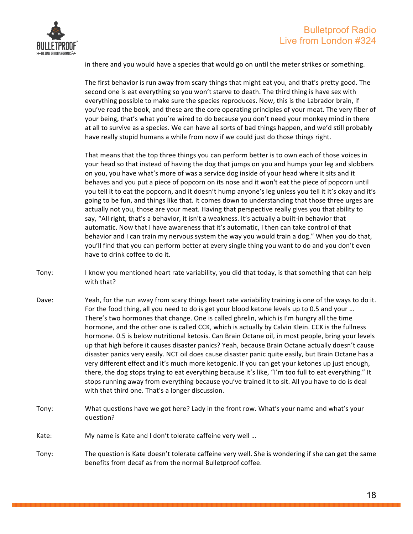



in there and you would have a species that would go on until the meter strikes or something.

The first behavior is run away from scary things that might eat you, and that's pretty good. The second one is eat everything so you won't starve to death. The third thing is have sex with everything possible to make sure the species reproduces. Now, this is the Labrador brain, if you've read the book, and these are the core operating principles of your meat. The very fiber of your being, that's what you're wired to do because you don't need your monkey mind in there at all to survive as a species. We can have all sorts of bad things happen, and we'd still probably have really stupid humans a while from now if we could just do those things right.

That means that the top three things you can perform better is to own each of those voices in your head so that instead of having the dog that jumps on you and humps your leg and slobbers on you, you have what's more of was a service dog inside of your head where it sits and it behaves and you put a piece of popcorn on its nose and it won't eat the piece of popcorn until you tell it to eat the popcorn, and it doesn't hump anyone's leg unless you tell it it's okay and it's going to be fun, and things like that. It comes down to understanding that those three urges are actually not you, those are your meat. Having that perspective really gives you that ability to say, "All right, that's a behavior, it isn't a weakness. It's actually a built-in behavior that automatic. Now that I have awareness that it's automatic, I then can take control of that behavior and I can train my nervous system the way you would train a dog." When you do that, you'll find that you can perform better at every single thing you want to do and you don't even have to drink coffee to do it.

- Tony: I know you mentioned heart rate variability, you did that today, is that something that can help with that?
- Dave: Yeah, for the run away from scary things heart rate variability training is one of the ways to do it. For the food thing, all you need to do is get your blood ketone levels up to 0.5 and your ... There's two hormones that change. One is called ghrelin, which is I'm hungry all the time hormone, and the other one is called CCK, which is actually by Calvin Klein. CCK is the fullness hormone. 0.5 is below nutritional ketosis. Can Brain Octane oil, in most people, bring your levels up that high before it causes disaster panics? Yeah, because Brain Octane actually doesn't cause disaster panics very easily. NCT oil does cause disaster panic quite easily, but Brain Octane has a very different effect and it's much more ketogenic. If you can get your ketones up just enough, there, the dog stops trying to eat everything because it's like, "I'm too full to eat everything." It stops running away from everything because you've trained it to sit. All you have to do is deal with that third one. That's a longer discussion.
- Tony: What questions have we got here? Lady in the front row. What's your name and what's your question?
- Kate: My name is Kate and I don't tolerate caffeine very well ...
- Tony: The question is Kate doesn't tolerate caffeine very well. She is wondering if she can get the same benefits from decaf as from the normal Bulletproof coffee.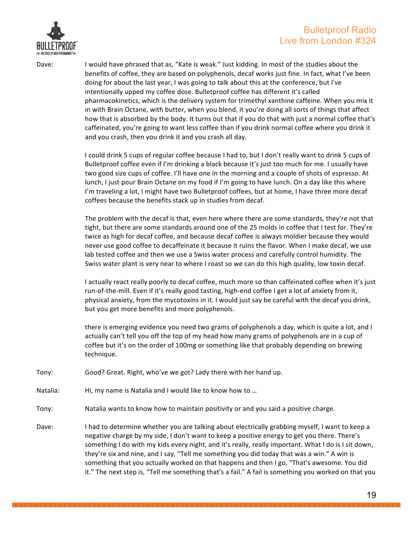

Dave: I would have phrased that as, "Kate is weak." Just kidding. In most of the studies about the benefits of coffee, they are based on polyphenols, decaf works just fine. In fact, what I've been doing for about the last year, I was going to talk about this at the conference, but I've intentionally upped my coffee dose. Bulletproof coffee has different it's called pharmacokinetics, which is the delivery system for trimethyl xanthine caffeine. When you mix it in with Brain Octane, with butter, when you blend, it you're doing all sorts of things that affect how that is absorbed by the body. It turns out that if you do that with just a normal coffee that's caffeinated, you're going to want less coffee than if you drink normal coffee where you drink it and you crash, then you drink it and you crash all day.

> I could drink 5 cups of regular coffee because I had to, but I don't really want to drink 5 cups of Bulletproof coffee even if I'm drinking a black because it's just too much for me. I usually have two good size cups of coffee. I'll have one in the morning and a couple of shots of espresso. At lunch, I just pour Brain Octane on my food if I'm going to have lunch. On a day like this where I'm traveling a lot, I might have two Bulletproof coffees, but at home, I have three more decaf coffees because the benefits stack up in studies from decaf.

The problem with the decaf is that, even here where there are some standards, they're not that tight, but there are some standards around one of the 25 molds in coffee that I test for. They're twice as high for decaf coffee, and because decaf coffee is always moldier because they would never use good coffee to decaffeinate it because it ruins the flavor. When I make decaf, we use lab tested coffee and then we use a Swiss water process and carefully control humidity. The Swiss water plant is very near to where I roast so we can do this high quality, low toxin decaf.

I actually react really poorly to decaf coffee, much more so than caffeinated coffee when it's just run-of-the-mill. Even if it's really good tasting, high-end coffee I get a lot of anxiety from it, physical anxiety, from the mycotoxins in it. I would just say be careful with the decaf you drink, but you get more benefits and more polyphenols.

there is emerging evidence you need two grams of polyphenols a day, which is quite a lot, and I actually can't tell you off the top of my head how many grams of polyphenols are in a cup of coffee but it's on the order of 100mg or something like that probably depending on brewing technique.

Tony: Good? Great. Right, who've we got? Lady there with her hand up.

- Natalia: Hi, my name is Natalia and I would like to know how to ...
- Tony: Natalia wants to know how to maintain positivity or and you said a positive charge.
- Dave: I had to determine whether you are talking about electrically grabbing myself, I want to keep a negative charge by my side, I don't want to keep a positive energy to get you there. There's something I do with my kids every night, and it's really, really important. What I do is I sit down, they're six and nine, and I say, "Tell me something you did today that was a win." A win is something that you actually worked on that happens and then I go, "That's awesome. You did it." The next step is, "Tell me something that's a fail." A fail is something you worked on that you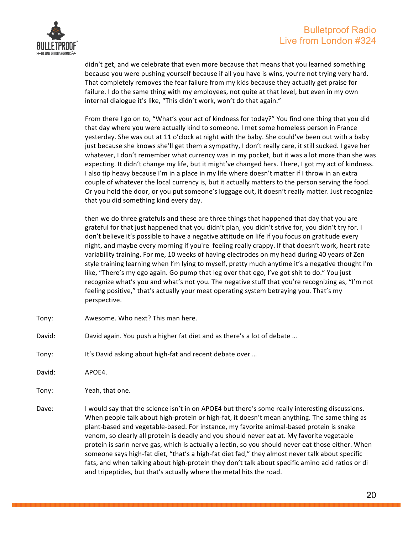

didn't get, and we celebrate that even more because that means that you learned something because you were pushing yourself because if all you have is wins, you're not trying very hard. That completely removes the fear failure from my kids because they actually get praise for failure. I do the same thing with my employees, not quite at that level, but even in my own internal dialogue it's like, "This didn't work, won't do that again."

From there I go on to, "What's your act of kindness for today?" You find one thing that you did that day where you were actually kind to someone. I met some homeless person in France yesterday. She was out at 11 o'clock at night with the baby. She could've been out with a baby just because she knows she'll get them a sympathy, I don't really care, it still sucked. I gave her whatever, I don't remember what currency was in my pocket, but it was a lot more than she was expecting. It didn't change my life, but it might've changed hers. There, I got my act of kindness. I also tip heavy because I'm in a place in my life where doesn't matter if I throw in an extra couple of whatever the local currency is, but it actually matters to the person serving the food. Or you hold the door, or you put someone's luggage out, it doesn't really matter. Just recognize that you did something kind every day.

then we do three gratefuls and these are three things that happened that day that you are grateful for that just happened that you didn't plan, you didn't strive for, you didn't try for. I don't believe it's possible to have a negative attitude on life if you focus on gratitude every night, and maybe every morning if you're feeling really crappy. If that doesn't work, heart rate variability training. For me, 10 weeks of having electrodes on my head during 40 years of Zen style training learning when I'm lying to myself, pretty much anytime it's a negative thought I'm like, "There's my ego again. Go pump that leg over that ego, I've got shit to do." You just recognize what's you and what's not you. The negative stuff that you're recognizing as, "I'm not feeling positive," that's actually your meat operating system betraying you. That's my perspective.

- Tony: Awesome. Who next? This man here.
- David: David again. You push a higher fat diet and as there's a lot of debate ...
- Tony: It's David asking about high-fat and recent debate over ...
- David: APOE4.
- Tony: Yeah, that one.
- Dave: I would say that the science isn't in on APOE4 but there's some really interesting discussions. When people talk about high-protein or high-fat, it doesn't mean anything. The same thing as plant-based and vegetable-based. For instance, my favorite animal-based protein is snake venom, so clearly all protein is deadly and you should never eat at. My favorite vegetable protein is sarin nerve gas, which is actually a lectin, so you should never eat those either. When someone says high-fat diet, "that's a high-fat diet fad," they almost never talk about specific fats, and when talking about high-protein they don't talk about specific amino acid ratios or di and tripeptides, but that's actually where the metal hits the road.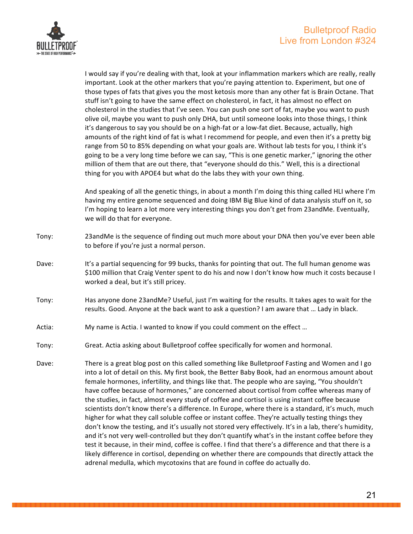

I would say if you're dealing with that, look at your inflammation markers which are really, really important. Look at the other markers that you're paying attention to. Experiment, but one of those types of fats that gives you the most ketosis more than any other fat is Brain Octane. That stuff isn't going to have the same effect on cholesterol, in fact, it has almost no effect on cholesterol in the studies that I've seen. You can push one sort of fat, maybe you want to push olive oil, maybe you want to push only DHA, but until someone looks into those things, I think it's dangerous to say you should be on a high-fat or a low-fat diet. Because, actually, high amounts of the right kind of fat is what I recommend for people, and even then it's a pretty big range from 50 to 85% depending on what your goals are. Without lab tests for you, I think it's going to be a very long time before we can say, "This is one genetic marker," ignoring the other million of them that are out there, that "everyone should do this." Well, this is a directional thing for you with APOE4 but what do the labs they with your own thing.

And speaking of all the genetic things, in about a month I'm doing this thing called HLI where I'm having my entire genome sequenced and doing IBM Big Blue kind of data analysis stuff on it, so I'm hoping to learn a lot more very interesting things you don't get from 23andMe. Eventually, we will do that for everyone.

- Tony: 23andMe is the sequence of finding out much more about your DNA then you've ever been able to before if you're just a normal person.
- Dave: It's a partial sequencing for 99 bucks, thanks for pointing that out. The full human genome was \$100 million that Craig Venter spent to do his and now I don't know how much it costs because I worked a deal, but it's still pricey.
- Tony: Has anyone done 23andMe? Useful, just I'm waiting for the results. It takes ages to wait for the results. Good. Anyone at the back want to ask a question? I am aware that ... Lady in black.
- Actia: My name is Actia. I wanted to know if you could comment on the effect ...
- Tony: Great. Actia asking about Bulletproof coffee specifically for women and hormonal.
- Dave: There is a great blog post on this called something like Bulletproof Fasting and Women and I go into a lot of detail on this. My first book, the Better Baby Book, had an enormous amount about female hormones, infertility, and things like that. The people who are saying, "You shouldn't have coffee because of hormones," are concerned about cortisol from coffee whereas many of the studies, in fact, almost every study of coffee and cortisol is using instant coffee because scientists don't know there's a difference. In Europe, where there is a standard, it's much, much higher for what they call soluble coffee or instant coffee. They're actually testing things they don't know the testing, and it's usually not stored very effectively. It's in a lab, there's humidity, and it's not very well-controlled but they don't quantify what's in the instant coffee before they test it because, in their mind, coffee is coffee. I find that there's a difference and that there is a likely difference in cortisol, depending on whether there are compounds that directly attack the adrenal medulla, which mycotoxins that are found in coffee do actually do.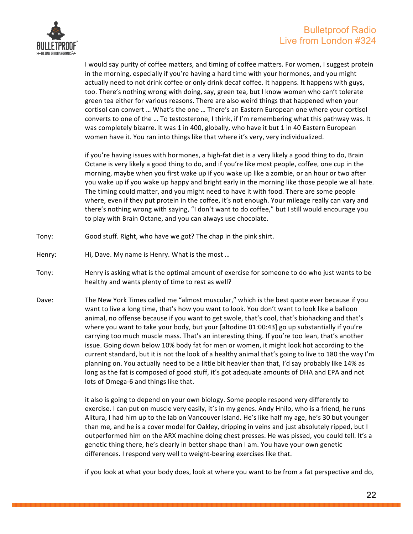

I would say purity of coffee matters, and timing of coffee matters. For women, I suggest protein in the morning, especially if you're having a hard time with your hormones, and you might actually need to not drink coffee or only drink decaf coffee. It happens. It happens with guys, too. There's nothing wrong with doing, say, green tea, but I know women who can't tolerate green tea either for various reasons. There are also weird things that happened when your cortisol can convert ... What's the one ... There's an Eastern European one where your cortisol converts to one of the ... To testosterone, I think, if I'm remembering what this pathway was. It was completely bizarre. It was 1 in 400, globally, who have it but 1 in 40 Eastern European women have it. You ran into things like that where it's very, very individualized.

if you're having issues with hormones, a high-fat diet is a very likely a good thing to do, Brain Octane is very likely a good thing to do, and if you're like most people, coffee, one cup in the morning, maybe when you first wake up if you wake up like a zombie, or an hour or two after you wake up if you wake up happy and bright early in the morning like those people we all hate. The timing could matter, and you might need to have it with food. There are some people where, even if they put protein in the coffee, it's not enough. Your mileage really can vary and there's nothing wrong with saying, "I don't want to do coffee," but I still would encourage you to play with Brain Octane, and you can always use chocolate.

- Tony: Good stuff. Right, who have we got? The chap in the pink shirt.
- Henry: Hi, Dave. My name is Henry. What is the most ...
- Tony: Henry is asking what is the optimal amount of exercise for someone to do who just wants to be healthy and wants plenty of time to rest as well?
- Dave: The New York Times called me "almost muscular," which is the best quote ever because if you want to live a long time, that's how you want to look. You don't want to look like a balloon animal, no offense because if you want to get swole, that's cool, that's biohacking and that's where you want to take your body, but your [altodine  $01:00:43$ ] go up substantially if you're carrying too much muscle mass. That's an interesting thing. If you're too lean, that's another issue. Going down below 10% body fat for men or women, it might look hot according to the current standard, but it is not the look of a healthy animal that's going to live to 180 the way I'm planning on. You actually need to be a little bit heavier than that, I'd say probably like 14% as long as the fat is composed of good stuff, it's got adequate amounts of DHA and EPA and not lots of Omega-6 and things like that.

it also is going to depend on your own biology. Some people respond very differently to exercise. I can put on muscle very easily, it's in my genes. Andy Hnilo, who is a friend, he runs Alitura, I had him up to the lab on Vancouver Island. He's like half my age, he's 30 but younger than me, and he is a cover model for Oakley, dripping in veins and just absolutely ripped, but I outperformed him on the ARX machine doing chest presses. He was pissed, you could tell. It's a genetic thing there, he's clearly in better shape than I am. You have your own genetic differences. I respond very well to weight-bearing exercises like that.

if you look at what your body does, look at where you want to be from a fat perspective and do,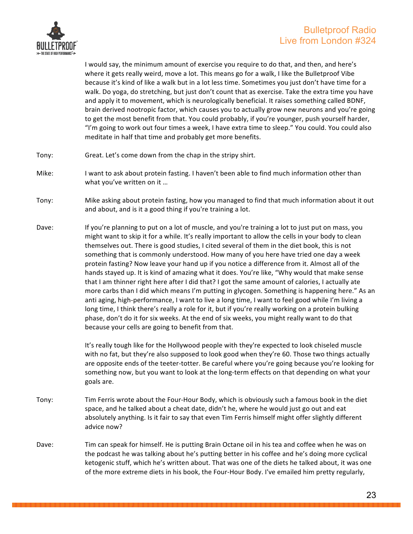

I would say, the minimum amount of exercise you require to do that, and then, and here's where it gets really weird, move a lot. This means go for a walk, I like the Bulletproof Vibe because it's kind of like a walk but in a lot less time. Sometimes you just don't have time for a walk. Do yoga, do stretching, but just don't count that as exercise. Take the extra time you have and apply it to movement, which is neurologically beneficial. It raises something called BDNF, brain derived nootropic factor, which causes you to actually grow new neurons and you're going to get the most benefit from that. You could probably, if you're younger, push yourself harder, "I'm going to work out four times a week, I have extra time to sleep." You could. You could also meditate in half that time and probably get more benefits.

- Tony: Great. Let's come down from the chap in the stripy shirt.
- Mike: I want to ask about protein fasting. I haven't been able to find much information other than what you've written on it ...
- Tony: Mike asking about protein fasting, how you managed to find that much information about it out and about, and is it a good thing if you're training a lot.
- Dave: If you're planning to put on a lot of muscle, and you're training a lot to just put on mass, you might want to skip it for a while. It's really important to allow the cells in your body to clean themselves out. There is good studies, I cited several of them in the diet book, this is not something that is commonly understood. How many of you here have tried one day a week protein fasting? Now leave your hand up if you notice a difference from it. Almost all of the hands stayed up. It is kind of amazing what it does. You're like, "Why would that make sense that I am thinner right here after I did that? I got the same amount of calories, I actually ate more carbs than I did which means I'm putting in glycogen. Something is happening here." As an anti aging, high-performance, I want to live a long time, I want to feel good while I'm living a long time, I think there's really a role for it, but if you're really working on a protein bulking phase, don't do it for six weeks. At the end of six weeks, you might really want to do that because your cells are going to benefit from that.

It's really tough like for the Hollywood people with they're expected to look chiseled muscle with no fat, but they're also supposed to look good when they're 60. Those two things actually are opposite ends of the teeter-totter. Be careful where you're going because you're looking for something now, but you want to look at the long-term effects on that depending on what your goals are.

- Tony: Tim Ferris wrote about the Four-Hour Body, which is obviously such a famous book in the diet space, and he talked about a cheat date, didn't he, where he would just go out and eat absolutely anything. Is it fair to say that even Tim Ferris himself might offer slightly different advice now?
- Dave: Tim can speak for himself. He is putting Brain Octane oil in his tea and coffee when he was on the podcast he was talking about he's putting better in his coffee and he's doing more cyclical ketogenic stuff, which he's written about. That was one of the diets he talked about, it was one of the more extreme diets in his book, the Four-Hour Body. I've emailed him pretty regularly,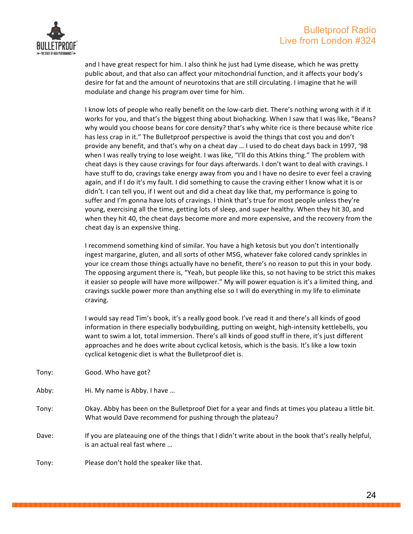

and I have great respect for him. I also think he just had Lyme disease, which he was pretty public about, and that also can affect your mitochondrial function, and it affects your body's desire for fat and the amount of neurotoxins that are still circulating. I imagine that he will modulate and change his program over time for him.

I know lots of people who really benefit on the low-carb diet. There's nothing wrong with it if it works for you, and that's the biggest thing about biohacking. When I saw that I was like, "Beans? why would you choose beans for core density? that's why white rice is there because white rice has less crap in it." The Bulletproof perspective is avoid the things that cost you and don't provide any benefit, and that's why on a cheat day ... I used to do cheat days back in 1997, '98 when I was really trying to lose weight. I was like, "I'll do this Atkins thing." The problem with cheat days is they cause cravings for four days afterwards. I don't want to deal with cravings. I have stuff to do, cravings take energy away from you and I have no desire to ever feel a craving again, and if I do it's my fault. I did something to cause the craving either I know what it is or didn't. I can tell you, if I went out and did a cheat day like that, my performance is going to suffer and I'm gonna have lots of cravings. I think that's true for most people unless they're young, exercising all the time, getting lots of sleep, and super healthy. When they hit 30, and when they hit 40, the cheat days become more and more expensive, and the recovery from the cheat day is an expensive thing.

I recommend something kind of similar. You have a high ketosis but you don't intentionally ingest margarine, gluten, and all sorts of other MSG, whatever fake colored candy sprinkles in your ice cream those things actually have no benefit, there's no reason to put this in your body. The opposing argument there is, "Yeah, but people like this, so not having to be strict this makes it easier so people will have more willpower." My will power equation is it's a limited thing, and cravings suckle power more than anything else so I will do everything in my life to eliminate craving.

I would say read Tim's book, it's a really good book. I've read it and there's all kinds of good information in there especially bodybuilding, putting on weight, high-intensity kettlebells, you want to swim a lot, total immersion. There's all kinds of good stuff in there, it's just different approaches and he does write about cyclical ketosis, which is the basis. It's like a low toxin cyclical ketogenic diet is what the Bulletproof diet is.

| Tony: | Good. Who have got? |  |  |  |
|-------|---------------------|--|--|--|
|-------|---------------------|--|--|--|

- Abby: Hi. My name is Abby. I have ...
- Tony: Okay. Abby has been on the Bulletproof Diet for a year and finds at times you plateau a little bit. What would Dave recommend for pushing through the plateau?
- Dave: If you are plateauing one of the things that I didn't write about in the book that's really helpful, is an actual real fast where ...

Tony: Please don't hold the speaker like that.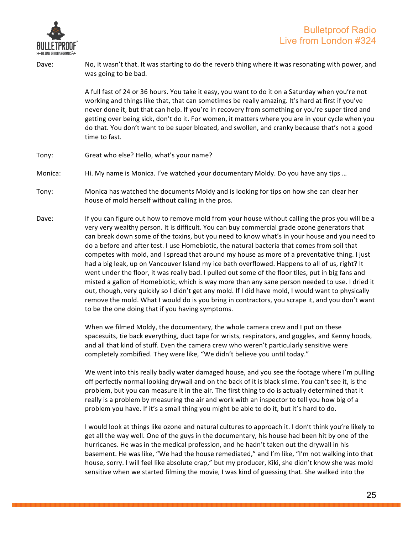

Dave: No, it wasn't that. It was starting to do the reverb thing where it was resonating with power, and was going to be bad.

> A full fast of 24 or 36 hours. You take it easy, you want to do it on a Saturday when you're not working and things like that, that can sometimes be really amazing. It's hard at first if you've never done it, but that can help. If you're in recovery from something or you're super tired and getting over being sick, don't do it. For women, it matters where you are in your cycle when you do that. You don't want to be super bloated, and swollen, and cranky because that's not a good time to fast.

- Tony: Great who else? Hello, what's your name?
- Monica: Hi. My name is Monica. I've watched your documentary Moldy. Do you have any tips ...
- Tony: Monica has watched the documents Moldy and is looking for tips on how she can clear her house of mold herself without calling in the pros.
- Dave: If you can figure out how to remove mold from your house without calling the pros you will be a very very wealthy person. It is difficult. You can buy commercial grade ozone generators that can break down some of the toxins, but you need to know what's in your house and you need to do a before and after test. I use Homebiotic, the natural bacteria that comes from soil that competes with mold, and I spread that around my house as more of a preventative thing. I just had a big leak, up on Vancouver Island my ice bath overflowed. Happens to all of us, right? It went under the floor, it was really bad. I pulled out some of the floor tiles, put in big fans and misted a gallon of Homebiotic, which is way more than any sane person needed to use. I dried it out, though, very quickly so I didn't get any mold. If I did have mold, I would want to physically remove the mold. What I would do is you bring in contractors, you scrape it, and you don't want to be the one doing that if you having symptoms.

When we filmed Moldy, the documentary, the whole camera crew and I put on these spacesuits, tie back everything, duct tape for wrists, respirators, and goggles, and Kenny hoods, and all that kind of stuff. Even the camera crew who weren't particularly sensitive were completely zombified. They were like, "We didn't believe you until today."

We went into this really badly water damaged house, and you see the footage where I'm pulling off perfectly normal looking drywall and on the back of it is black slime. You can't see it, is the problem, but you can measure it in the air. The first thing to do is actually determined that it really is a problem by measuring the air and work with an inspector to tell you how big of a problem you have. If it's a small thing you might be able to do it, but it's hard to do.

I would look at things like ozone and natural cultures to approach it. I don't think you're likely to get all the way well. One of the guys in the documentary, his house had been hit by one of the hurricanes. He was in the medical profession, and he hadn't taken out the drywall in his basement. He was like, "We had the house remediated," and I'm like, "I'm not walking into that house, sorry. I will feel like absolute crap," but my producer, Kiki, she didn't know she was mold sensitive when we started filming the movie, I was kind of guessing that. She walked into the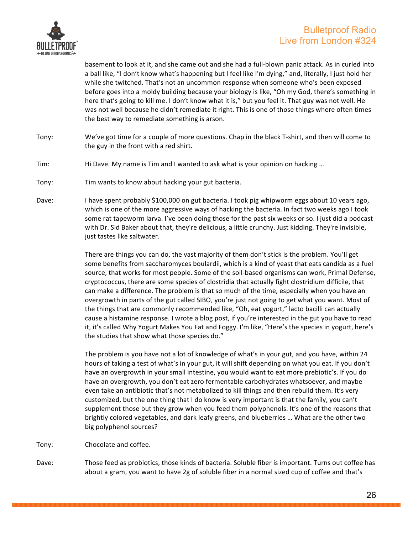

basement to look at it, and she came out and she had a full-blown panic attack. As in curled into a ball like, "I don't know what's happening but I feel like I'm dying," and, literally, I just hold her while she twitched. That's not an uncommon response when someone who's been exposed before goes into a moldy building because your biology is like, "Oh my God, there's something in here that's going to kill me. I don't know what it is," but you feel it. That guy was not well. He was not well because he didn't remediate it right. This is one of those things where often times the best way to remediate something is arson.

- Tony: We've got time for a couple of more questions. Chap in the black T-shirt, and then will come to the guy in the front with a red shirt.
- Tim: Hi Dave. My name is Tim and I wanted to ask what is your opinion on hacking ...
- Tony: Tim wants to know about hacking your gut bacteria.
- Dave: I have spent probably \$100,000 on gut bacteria. I took pig whipworm eggs about 10 years ago, which is one of the more aggressive ways of hacking the bacteria. In fact two weeks ago I took some rat tapeworm larva. I've been doing those for the past six weeks or so. I just did a podcast with Dr. Sid Baker about that, they're delicious, a little crunchy. Just kidding. They're invisible, just tastes like saltwater.

There are things you can do, the vast majority of them don't stick is the problem. You'll get some benefits from saccharomyces boulardii, which is a kind of yeast that eats candida as a fuel source, that works for most people. Some of the soil-based organisms can work, Primal Defense, cryptococcus, there are some species of clostridia that actually fight clostridium difficile, that can make a difference. The problem is that so much of the time, especially when you have an overgrowth in parts of the gut called SIBO, you're just not going to get what you want. Most of the things that are commonly recommended like, "Oh, eat yogurt," lacto bacilli can actually cause a histamine response. I wrote a blog post, if you're interested in the gut you have to read it, it's called Why Yogurt Makes You Fat and Foggy. I'm like, "Here's the species in yogurt, here's the studies that show what those species do."

The problem is you have not a lot of knowledge of what's in your gut, and you have, within 24 hours of taking a test of what's in your gut, it will shift depending on what you eat. If you don't have an overgrowth in your small intestine, you would want to eat more prebiotic's. If you do have an overgrowth, you don't eat zero fermentable carbohydrates whatsoever, and maybe even take an antibiotic that's not metabolized to kill things and then rebuild them. It's very customized, but the one thing that I do know is very important is that the family, you can't supplement those but they grow when you feed them polyphenols. It's one of the reasons that brightly colored vegetables, and dark leafy greens, and blueberries ... What are the other two big polyphenol sources?

- Tony: Chocolate and coffee.
- Dave: Those feed as probiotics, those kinds of bacteria. Soluble fiber is important. Turns out coffee has about a gram, you want to have 2g of soluble fiber in a normal sized cup of coffee and that's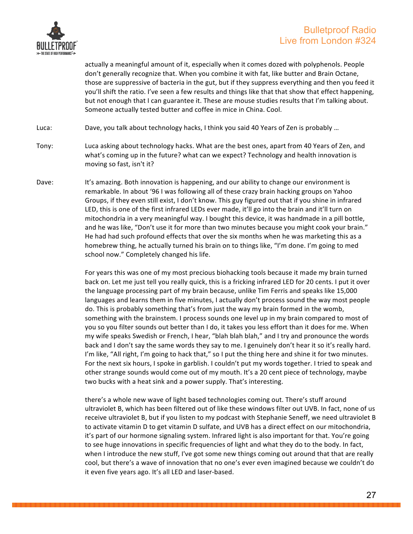

actually a meaningful amount of it, especially when it comes dozed with polyphenols. People don't generally recognize that. When you combine it with fat, like butter and Brain Octane, those are suppressive of bacteria in the gut, but if they suppress everything and then you feed it you'll shift the ratio. I've seen a few results and things like that that show that effect happening, but not enough that I can guarantee it. These are mouse studies results that I'm talking about. Someone actually tested butter and coffee in mice in China. Cool.

Luca: Dave, you talk about technology hacks, I think you said 40 Years of Zen is probably ...

- Tony: Luca asking about technology hacks. What are the best ones, apart from 40 Years of Zen, and what's coming up in the future? what can we expect? Technology and health innovation is moving so fast, isn't it?
- Dave: It's amazing. Both innovation is happening, and our ability to change our environment is remarkable. In about '96 I was following all of these crazy brain hacking groups on Yahoo Groups, if they even still exist, I don't know. This guy figured out that if you shine in infrared LED, this is one of the first infrared LEDs ever made, it'll go into the brain and it'll turn on mitochondria in a very meaningful way. I bought this device, it was handmade in a pill bottle, and he was like, "Don't use it for more than two minutes because you might cook your brain." He had had such profound effects that over the six months when he was marketing this as a homebrew thing, he actually turned his brain on to things like, "I'm done. I'm going to med school now." Completely changed his life.

For years this was one of my most precious biohacking tools because it made my brain turned back on. Let me just tell you really quick, this is a fricking infrared LED for 20 cents. I put it over the language processing part of my brain because, unlike Tim Ferris and speaks like 15,000 languages and learns them in five minutes, I actually don't process sound the way most people do. This is probably something that's from just the way my brain formed in the womb, something with the brainstem. I process sounds one level up in my brain compared to most of you so you filter sounds out better than I do, it takes you less effort than it does for me. When my wife speaks Swedish or French, I hear, "blah blah blah," and I try and pronounce the words back and I don't say the same words they say to me. I genuinely don't hear it so it's really hard. I'm like, "All right, I'm going to hack that," so I put the thing here and shine it for two minutes. For the next six hours, I spoke in garblish. I couldn't put my words together. I tried to speak and other strange sounds would come out of my mouth. It's a 20 cent piece of technology, maybe two bucks with a heat sink and a power supply. That's interesting.

there's a whole new wave of light based technologies coming out. There's stuff around ultraviolet B, which has been filtered out of like these windows filter out UVB. In fact, none of us receive ultraviolet B, but if you listen to my podcast with Stephanie Seneff, we need ultraviolet B to activate vitamin D to get vitamin D sulfate, and UVB has a direct effect on our mitochondria, it's part of our hormone signaling system. Infrared light is also important for that. You're going to see huge innovations in specific frequencies of light and what they do to the body. In fact, when I introduce the new stuff, I've got some new things coming out around that that are really cool, but there's a wave of innovation that no one's ever even imagined because we couldn't do it even five years ago. It's all LED and laser-based.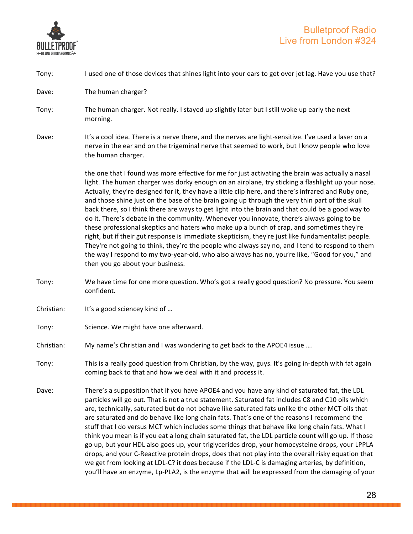

| Tony:      | I used one of those devices that shines light into your ears to get over jet lag. Have you use that?                                                                                                                                                                                                                                                                                                                                                                                                                                                                                                                                                                                                                                                                                                                                                                                                                                                                                                                                                          |
|------------|---------------------------------------------------------------------------------------------------------------------------------------------------------------------------------------------------------------------------------------------------------------------------------------------------------------------------------------------------------------------------------------------------------------------------------------------------------------------------------------------------------------------------------------------------------------------------------------------------------------------------------------------------------------------------------------------------------------------------------------------------------------------------------------------------------------------------------------------------------------------------------------------------------------------------------------------------------------------------------------------------------------------------------------------------------------|
| Dave:      | The human charger?                                                                                                                                                                                                                                                                                                                                                                                                                                                                                                                                                                                                                                                                                                                                                                                                                                                                                                                                                                                                                                            |
| Tony:      | The human charger. Not really. I stayed up slightly later but I still woke up early the next<br>morning.                                                                                                                                                                                                                                                                                                                                                                                                                                                                                                                                                                                                                                                                                                                                                                                                                                                                                                                                                      |
| Dave:      | It's a cool idea. There is a nerve there, and the nerves are light-sensitive. I've used a laser on a<br>nerve in the ear and on the trigeminal nerve that seemed to work, but I know people who love<br>the human charger.                                                                                                                                                                                                                                                                                                                                                                                                                                                                                                                                                                                                                                                                                                                                                                                                                                    |
|            | the one that I found was more effective for me for just activating the brain was actually a nasal<br>light. The human charger was dorky enough on an airplane, try sticking a flashlight up your nose.<br>Actually, they're designed for it, they have a little clip here, and there's infrared and Ruby one,<br>and those shine just on the base of the brain going up through the very thin part of the skull<br>back there, so I think there are ways to get light into the brain and that could be a good way to<br>do it. There's debate in the community. Whenever you innovate, there's always going to be<br>these professional skeptics and haters who make up a bunch of crap, and sometimes they're<br>right, but if their gut response is immediate skepticism, they're just like fundamentalist people.<br>They're not going to think, they're the people who always say no, and I tend to respond to them<br>the way I respond to my two-year-old, who also always has no, you're like, "Good for you," and<br>then you go about your business. |
| Tony:      | We have time for one more question. Who's got a really good question? No pressure. You seem<br>confident.                                                                                                                                                                                                                                                                                                                                                                                                                                                                                                                                                                                                                                                                                                                                                                                                                                                                                                                                                     |
| Christian: | It's a good sciencey kind of                                                                                                                                                                                                                                                                                                                                                                                                                                                                                                                                                                                                                                                                                                                                                                                                                                                                                                                                                                                                                                  |
| Tony:      | Science. We might have one afterward.                                                                                                                                                                                                                                                                                                                                                                                                                                                                                                                                                                                                                                                                                                                                                                                                                                                                                                                                                                                                                         |
| Christian: | My name's Christian and I was wondering to get back to the APOE4 issue                                                                                                                                                                                                                                                                                                                                                                                                                                                                                                                                                                                                                                                                                                                                                                                                                                                                                                                                                                                        |
| Tony:      | This is a really good question from Christian, by the way, guys. It's going in-depth with fat again<br>coming back to that and how we deal with it and process it.                                                                                                                                                                                                                                                                                                                                                                                                                                                                                                                                                                                                                                                                                                                                                                                                                                                                                            |
| Dave:      | There's a supposition that if you have APOE4 and you have any kind of saturated fat, the LDL<br>particles will go out. That is not a true statement. Saturated fat includes C8 and C10 oils which<br>are, technically, saturated but do not behave like saturated fats unlike the other MCT oils that<br>are saturated and do behave like long chain fats. That's one of the reasons I recommend the<br>stuff that I do versus MCT which includes some things that behave like long chain fats. What I<br>think you mean is if you eat a long chain saturated fat, the LDL particle count will go up. If those<br>go up, but your HDL also goes up, your triglycerides drop, your homocysteine drops, your LPPLA<br>drops, and your C-Reactive protein drops, does that not play into the overall risky equation that<br>we get from looking at LDL-C? it does because if the LDL-C is damaging arteries, by definition,<br>you'll have an enzyme, Lp-PLA2, is the enzyme that will be expressed from the damaging of your                                    |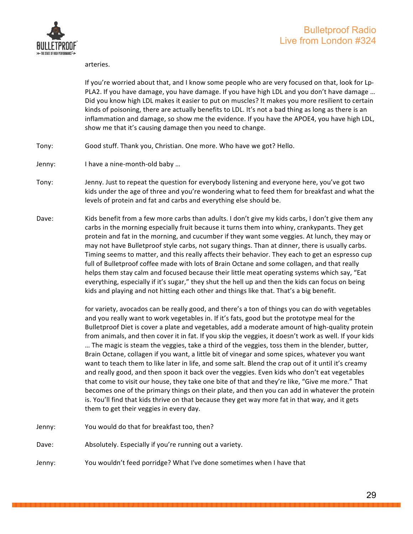

arteries.

If you're worried about that, and I know some people who are very focused on that, look for Lp-PLA2. If you have damage, you have damage. If you have high LDL and you don't have damage ... Did you know high LDL makes it easier to put on muscles? It makes you more resilient to certain kinds of poisoning, there are actually benefits to LDL. It's not a bad thing as long as there is an inflammation and damage, so show me the evidence. If you have the APOE4, you have high LDL, show me that it's causing damage then you need to change.

- Tony: Good stuff. Thank you, Christian. One more. Who have we got? Hello.
- Jenny: I have a nine-month-old baby ...
- Tony: Jenny. Just to repeat the question for everybody listening and everyone here, you've got two kids under the age of three and you're wondering what to feed them for breakfast and what the levels of protein and fat and carbs and everything else should be.
- Dave: Kids benefit from a few more carbs than adults. I don't give my kids carbs, I don't give them any carbs in the morning especially fruit because it turns them into whiny, crankypants. They get protein and fat in the morning, and cucumber if they want some veggies. At lunch, they may or may not have Bulletproof style carbs, not sugary things. Than at dinner, there is usually carbs. Timing seems to matter, and this really affects their behavior. They each to get an espresso cup full of Bulletproof coffee made with lots of Brain Octane and some collagen, and that really helps them stay calm and focused because their little meat operating systems which say, "Eat everything, especially if it's sugar," they shut the hell up and then the kids can focus on being kids and playing and not hitting each other and things like that. That's a big benefit.

for variety, avocados can be really good, and there's a ton of things you can do with vegetables and you really want to work vegetables in. If it's fats, good but the prototype meal for the Bulletproof Diet is cover a plate and vegetables, add a moderate amount of high-quality protein from animals, and then cover it in fat. If you skip the veggies, it doesn't work as well. If your kids ... The magic is steam the veggies, take a third of the veggies, toss them in the blender, butter, Brain Octane, collagen if you want, a little bit of vinegar and some spices, whatever you want want to teach them to like later in life, and some salt. Blend the crap out of it until it's creamy and really good, and then spoon it back over the veggies. Even kids who don't eat vegetables that come to visit our house, they take one bite of that and they're like, "Give me more." That becomes one of the primary things on their plate, and then you can add in whatever the protein is. You'll find that kids thrive on that because they get way more fat in that way, and it gets them to get their veggies in every day.

- Jenny: You would do that for breakfast too, then?
- Dave: Absolutely. Especially if you're running out a variety.
- Jenny: You wouldn't feed porridge? What I've done sometimes when I have that